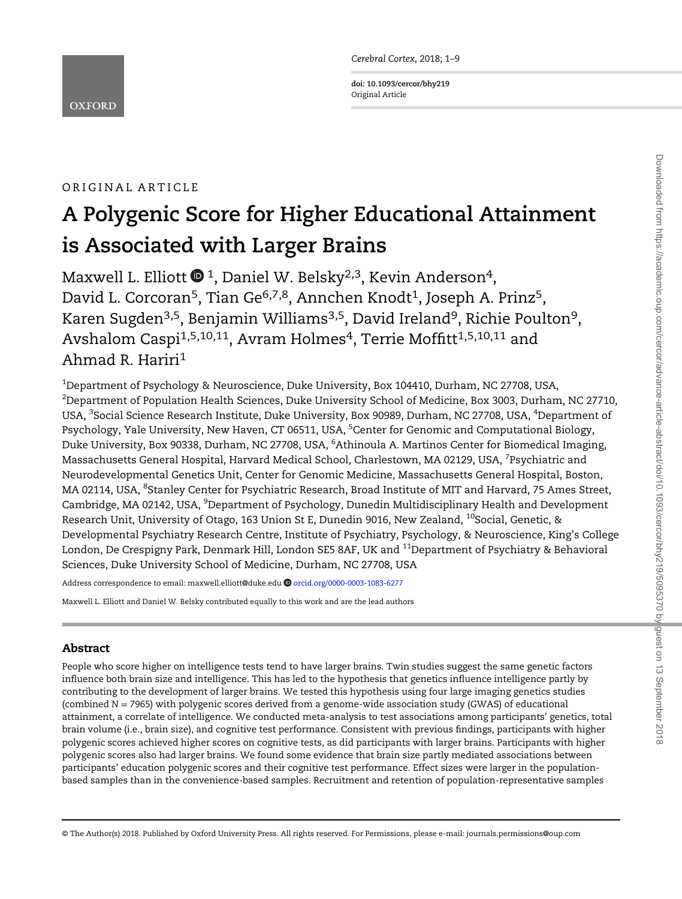Cerebral Cortex, 2018; 1–9

doi: 10.1093/cercor/bhy219 Original Article

# ORIGINAL ARTICLE

# A Polygenic Score for Higher Educational Attainment is Associated with Larger Brains

Maxwell L. Elliott  $\mathbf{D}^1$  $\mathbf{D}^1$ , Daniel W. Belsky<sup>2,3</sup>, Kevin Anderson<sup>4</sup>, David L. Corcoran<sup>5</sup>, Tian Ge<sup>6,7,8</sup>, Annchen Knodt<sup>1</sup>, Joseph A. Prinz<sup>5</sup>, Karen Sugden<sup>3,5</sup>, Benjamin Williams<sup>3,5</sup>, David Ireland<sup>9</sup>, Richie Poulton<sup>9</sup>, Avshalom Caspi<sup>1,5,10,11</sup>, Avram Holmes<sup>4</sup>, Terrie Moffitt<sup>1,5,10,11</sup> and Ahmad R. Hariri<sup>1</sup>

 $^{\rm 1}$ Department of Psychology & Neuroscience, Duke University, Box 104410, Durham, NC 27708, USA,  $^2$ Department of Population Health Sciences, Duke University School of Medicine, Box 3003, Durham, NC 27710, USA, <sup>3</sup>Social Science Research Institute, Duke University, Box 90989, Durham, NC 27708, USA, <sup>4</sup>Department of Psychology, Yale University, New Haven, CT 06511, USA, <sup>5</sup>Center for Genomic and Computational Biology, Duke University, Box 90338, Durham, NC 27708, USA, <sup>6</sup>Athinoula A. Martinos Center for Biomedical Imaging, Massachusetts General Hospital, Harvard Medical School, Charlestown, MA 02129, USA, <sup>7</sup>Psychiatric and Neurodevelopmental Genetics Unit, Center for Genomic Medicine, Massachusetts General Hospital, Boston, MA 02114, USA, <sup>8</sup>Stanley Center for Psychiatric Research, Broad Institute of MIT and Harvard, 75 Ames Street, Cambridge, MA 02142, USA, <sup>9</sup>Department of Psychology, Dunedin Multidisciplinary Health and Development Research Unit, University of Otago, 163 Union St E, Dunedin 9016, New Zealand, <sup>10</sup>Social, Genetic, & Developmental Psychiatry Research Centre, Institute of Psychiatry, Psychology, & Neuroscience, King's College London, De Crespigny Park, Denmark Hill, London SE5 8AF, UK and <sup>11</sup>Department of Psychiatry & Behavioral Sciences, Duke University School of Medicine, Durham, NC 27708, USA

Address correspondence to email: maxwell.elliott@duke.edu @ [orcid.org/0000-0003-1083-6277](http://orcid.org/0000-0003-1083-6277)

Maxwell L. Elliott and Daniel W. Belsky contributed equally to this work and are the lead authors

## Abstract

People who score higher on intelligence tests tend to have larger brains. Twin studies suggest the same genetic factors influence both brain size and intelligence. This has led to the hypothesis that genetics influence intelligence partly by contributing to the development of larger brains. We tested this hypothesis using four large imaging genetics studies (combined  $N = 7965$ ) with polygenic scores derived from a genome-wide association study (GWAS) of educational attainment, a correlate of intelligence. We conducted meta-analysis to test associations among participants' genetics, total brain volume (i.e., brain size), and cognitive test performance. Consistent with previous findings, participants with higher polygenic scores achieved higher scores on cognitive tests, as did participants with larger brains. Participants with higher polygenic scores also had larger brains. We found some evidence that brain size partly mediated associations between participants' education polygenic scores and their cognitive test performance. Effect sizes were larger in the populationbased samples than in the convenience-based samples. Recruitment and retention of population-representative samples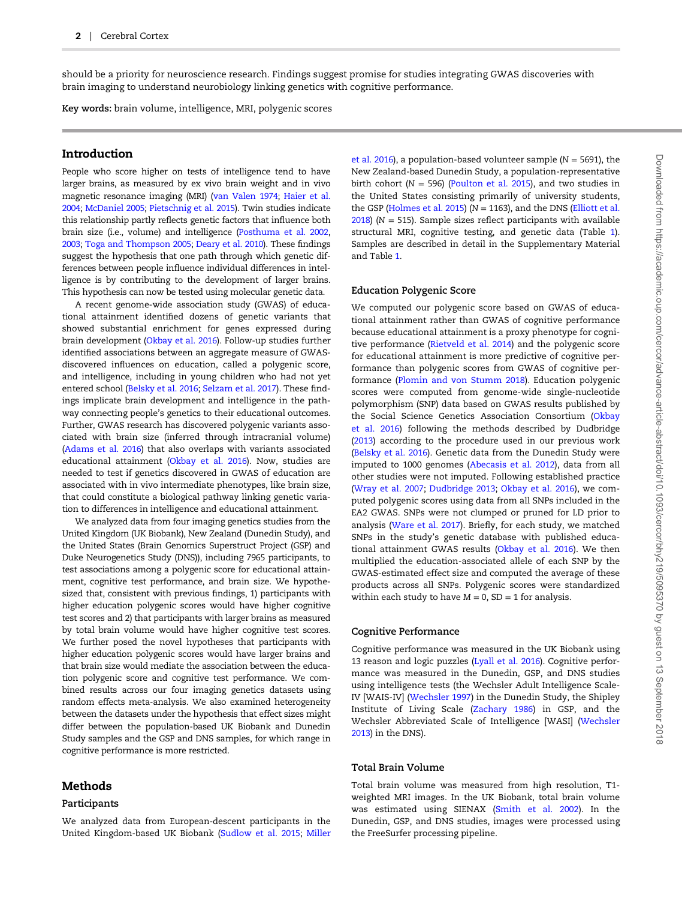should be a priority for neuroscience research. Findings suggest promise for studies integrating GWAS discoveries with brain imaging to understand neurobiology linking genetics with cognitive performance.

Key words: brain volume, intelligence, MRI, polygenic scores

## Introduction

People who score higher on tests of intelligence tend to have larger brains, as measured by ex vivo brain weight and in vivo magnetic resonance imaging (MRI) ([van Valen 1974](#page-8-0); [Haier et al.](#page-7-0) [2004;](#page-7-0) [McDaniel 2005;](#page-7-0) [Pietschnig et al. 2015\)](#page-7-0). Twin studies indicate this relationship partly reflects genetic factors that influence both brain size (i.e., volume) and intelligence [\(Posthuma et al. 2002,](#page-7-0) [2003;](#page-7-0) [Toga and Thompson 2005;](#page-8-0) [Deary et al. 2010](#page-7-0)). These findings suggest the hypothesis that one path through which genetic differences between people influence individual differences in intelligence is by contributing to the development of larger brains. This hypothesis can now be tested using molecular genetic data.

A recent genome-wide association study (GWAS) of educational attainment identified dozens of genetic variants that showed substantial enrichment for genes expressed during brain development [\(Okbay et al. 2016\)](#page-7-0). Follow-up studies further identified associations between an aggregate measure of GWASdiscovered influences on education, called a polygenic score, and intelligence, including in young children who had not yet entered school [\(Belsky et al. 2016;](#page-6-0) [Selzam et al. 2017\)](#page-7-0). These findings implicate brain development and intelligence in the pathway connecting people's genetics to their educational outcomes. Further, GWAS research has discovered polygenic variants associated with brain size (inferred through intracranial volume) [\(Adams et al. 2016\)](#page-6-0) that also overlaps with variants associated educational attainment ([Okbay et al. 2016\)](#page-7-0). Now, studies are needed to test if genetics discovered in GWAS of education are associated with in vivo intermediate phenotypes, like brain size, that could constitute a biological pathway linking genetic variation to differences in intelligence and educational attainment.

We analyzed data from four imaging genetics studies from the United Kingdom (UK Biobank), New Zealand (Dunedin Study), and the United States (Brain Genomics Superstruct Project (GSP) and Duke Neurogenetics Study (DNS)), including 7965 participants, to test associations among a polygenic score for educational attainment, cognitive test performance, and brain size. We hypothesized that, consistent with previous findings, 1) participants with higher education polygenic scores would have higher cognitive test scores and 2) that participants with larger brains as measured by total brain volume would have higher cognitive test scores. We further posed the novel hypotheses that participants with higher education polygenic scores would have larger brains and that brain size would mediate the association between the education polygenic score and cognitive test performance. We combined results across our four imaging genetics datasets using random effects meta-analysis. We also examined heterogeneity between the datasets under the hypothesis that effect sizes might differ between the population-based UK Biobank and Dunedin Study samples and the GSP and DNS samples, for which range in cognitive performance is more restricted.

#### Methods

#### Participants

We analyzed data from European-descent participants in the United Kingdom-based UK Biobank [\(Sudlow et al. 2015;](#page-7-0) [Miller](#page-7-0)

[et al. 2016](#page-7-0)), a population-based volunteer sample ( $N = 5691$ ), the New Zealand-based Dunedin Study, a population-representative birth cohort ( $N = 596$ ) ([Poulton et al. 2015](#page-7-0)), and two studies in the United States consisting primarily of university students, the GSP [\(Holmes et al. 2015](#page-7-0)) ( $N = 1163$ ), and the DNS ([Elliott et al.](#page-7-0)  $2018$ ) (N = 515). Sample sizes reflect participants with available structural MRI, cognitive testing, and genetic data (Table [1\)](#page-2-0). Samples are described in detail in the Supplementary Material and Table [1](#page-2-0).

#### Education Polygenic Score

We computed our polygenic score based on GWAS of educational attainment rather than GWAS of cognitive performance because educational attainment is a proxy phenotype for cognitive performance ([Rietveld et al. 2014](#page-7-0)) and the polygenic score for educational attainment is more predictive of cognitive performance than polygenic scores from GWAS of cognitive performance ([Plomin and von Stumm 2018](#page-7-0)). Education polygenic scores were computed from genome-wide single-nucleotide polymorphism (SNP) data based on GWAS results published by the Social Science Genetics Association Consortium ([Okbay](#page-7-0) [et al. 2016\)](#page-7-0) following the methods described by Dudbridge [\(2013\)](#page-7-0) according to the procedure used in our previous work [\(Belsky et al. 2016](#page-6-0)). Genetic data from the Dunedin Study were imputed to 1000 genomes [\(Abecasis et al. 2012](#page-6-0)), data from all other studies were not imputed. Following established practice [\(Wray et al. 2007](#page-8-0); [Dudbridge 2013](#page-7-0); [Okbay et al. 2016](#page-7-0)), we computed polygenic scores using data from all SNPs included in the EA2 GWAS. SNPs were not clumped or pruned for LD prior to analysis [\(Ware et al. 2017\)](#page-8-0). Briefly, for each study, we matched SNPs in the study's genetic database with published educational attainment GWAS results [\(Okbay et al. 2016](#page-7-0)). We then multiplied the education-associated allele of each SNP by the GWAS-estimated effect size and computed the average of these products across all SNPs. Polygenic scores were standardized within each study to have  $M = 0$ ,  $SD = 1$  for analysis.

#### Cognitive Performance

Cognitive performance was measured in the UK Biobank using 13 reason and logic puzzles [\(Lyall et al. 2016](#page-7-0)). Cognitive performance was measured in the Dunedin, GSP, and DNS studies using intelligence tests (the Wechsler Adult Intelligence Scale-IV [WAIS-IV] ([Wechsler 1997](#page-8-0)) in the Dunedin Study, the Shipley Institute of Living Scale [\(Zachary 1986](#page-8-0)) in GSP, and the Wechsler Abbreviated Scale of Intelligence [WASI] ([Wechsler](#page-8-0) [2013\)](#page-8-0) in the DNS).

#### Total Brain Volume

Total brain volume was measured from high resolution, T1 weighted MRI images. In the UK Biobank, total brain volume was estimated using SIENAX ([Smith et al. 2002](#page-7-0)). In the Dunedin, GSP, and DNS studies, images were processed using the FreeSurfer processing pipeline.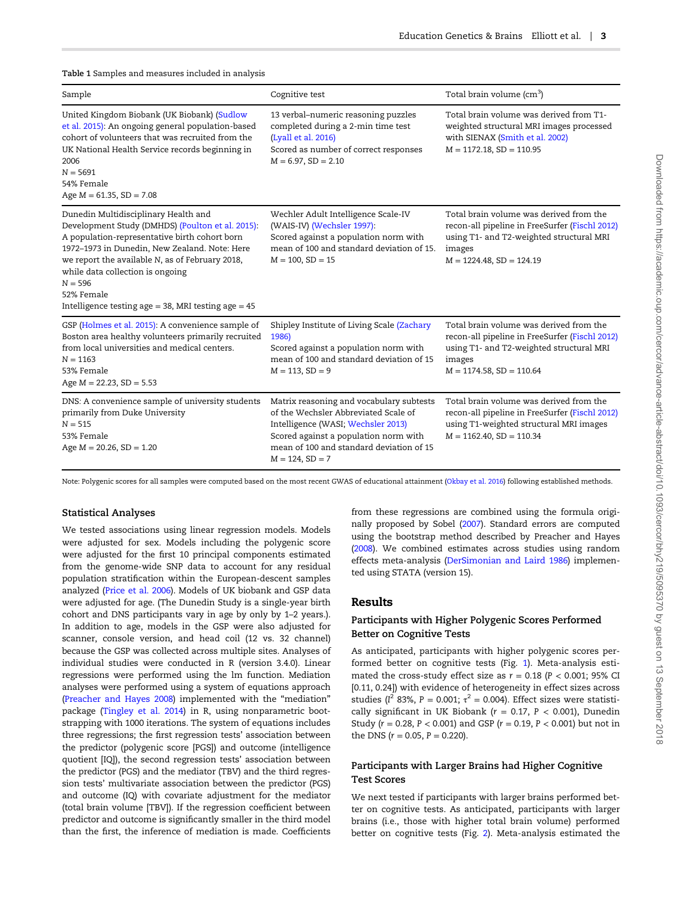<span id="page-2-0"></span>Table 1 Samples and measures included in analysis

| Sample                                                                                                                                                                                                                                                                                                                                                                  | Cognitive test                                                                                                                                                                                                                      | Total brain volume (cm <sup>3</sup> )                                                                                                                                            |
|-------------------------------------------------------------------------------------------------------------------------------------------------------------------------------------------------------------------------------------------------------------------------------------------------------------------------------------------------------------------------|-------------------------------------------------------------------------------------------------------------------------------------------------------------------------------------------------------------------------------------|----------------------------------------------------------------------------------------------------------------------------------------------------------------------------------|
| United Kingdom Biobank (UK Biobank) (Sudlow<br>et al. 2015): An ongoing general population-based<br>cohort of volunteers that was recruited from the<br>UK National Health Service records beginning in<br>2006<br>$N = 5691$<br>54% Female<br>Age $M = 61.35$ , $SD = 7.08$                                                                                            | 13 verbal-numeric reasoning puzzles<br>completed during a 2-min time test<br>(Lyall et al. 2016)<br>Scored as number of correct responses<br>$M = 6.97$ , $SD = 2.10$                                                               | Total brain volume was derived from T1-<br>weighted structural MRI images processed<br>with SIENAX (Smith et al. 2002)<br>$M = 1172.18$ , SD = 110.95                            |
| Dunedin Multidisciplinary Health and<br>Development Study (DMHDS) (Poulton et al. 2015):<br>A population-representative birth cohort born<br>1972-1973 in Dunedin, New Zealand. Note: Here<br>we report the available N, as of February 2018,<br>while data collection is ongoing<br>$N = 596$<br>52% Female<br>Intelligence testing age $=$ 38, MRI testing age $=$ 45 | Wechler Adult Intelligence Scale-IV<br>(WAIS-IV) (Wechsler 1997):<br>Scored against a population norm with<br>mean of 100 and standard deviation of 15.<br>$M = 100$ , $SD = 15$                                                    | Total brain volume was derived from the<br>recon-all pipeline in FreeSurfer (Fischl 2012)<br>using T1- and T2-weighted structural MRI<br>images<br>$M = 1224.48$ , $SD = 124.19$ |
| GSP (Holmes et al. 2015): A convenience sample of<br>Boston area healthy volunteers primarily recruited<br>from local universities and medical centers.<br>$N = 1163$<br>53% Female<br>Age $M = 22.23$ , $SD = 5.53$                                                                                                                                                    | Shipley Institute of Living Scale (Zachary<br>1986)<br>Scored against a population norm with<br>mean of 100 and standard deviation of 15<br>$M = 113$ , $SD = 9$                                                                    | Total brain volume was derived from the<br>recon-all pipeline in FreeSurfer (Fischl 2012)<br>using T1- and T2-weighted structural MRI<br>images<br>$M = 1174.58$ , $SD = 110.64$ |
| DNS: A convenience sample of university students<br>primarily from Duke University<br>$N = 515$<br>53% Female<br>Age $M = 20.26$ , $SD = 1.20$                                                                                                                                                                                                                          | Matrix reasoning and vocabulary subtests<br>of the Wechsler Abbreviated Scale of<br>Intelligence (WASI; Wechsler 2013)<br>Scored against a population norm with<br>mean of 100 and standard deviation of 15<br>$M = 124$ , $SD = 7$ | Total brain volume was derived from the<br>recon-all pipeline in FreeSurfer (Fischl 2012)<br>using T1-weighted structural MRI images<br>$M = 1162.40$ , $SD = 110.34$            |

Note: Polygenic scores for all samples were computed based on the most recent GWAS of educational attainment [\(Okbay et al. 2016](#page-7-0)) following established methods.

## Statistical Analyses

We tested associations using linear regression models. Models were adjusted for sex. Models including the polygenic score were adjusted for the first 10 principal components estimated from the genome-wide SNP data to account for any residual population stratification within the European-descent samples analyzed ([Price et al. 2006\)](#page-7-0). Models of UK biobank and GSP data were adjusted for age. (The Dunedin Study is a single-year birth cohort and DNS participants vary in age by only by 1–2 years.). In addition to age, models in the GSP were also adjusted for scanner, console version, and head coil (12 vs. 32 channel) because the GSP was collected across multiple sites. Analyses of individual studies were conducted in R (version 3.4.0). Linear regressions were performed using the lm function. Mediation analyses were performed using a system of equations approach [\(Preacher and Hayes 2008\)](#page-7-0) implemented with the "mediation" package [\(Tingley et al. 2014\)](#page-7-0) in R, using nonparametric bootstrapping with 1000 iterations. The system of equations includes three regressions; the first regression tests' association between the predictor (polygenic score [PGS]) and outcome (intelligence quotient [IQ]), the second regression tests' association between the predictor (PGS) and the mediator (TBV) and the third regression tests' multivariate association between the predictor (PGS) and outcome (IQ) with covariate adjustment for the mediator (total brain volume [TBV]). If the regression coefficient between predictor and outcome is significantly smaller in the third model than the first, the inference of mediation is made. Coefficients

from these regressions are combined using the formula originally proposed by Sobel [\(2007\)](#page-7-0). Standard errors are computed using the bootstrap method described by Preacher and Hayes [\(2008\)](#page-7-0). We combined estimates across studies using random effects meta-analysis [\(DerSimonian and Laird 1986](#page-7-0)) implemented using STATA (version 15).

#### Results

## Participants with Higher Polygenic Scores Performed Better on Cognitive Tests

As anticipated, participants with higher polygenic scores performed better on cognitive tests (Fig. [1](#page-4-0)). Meta-analysis estimated the cross-study effect size as  $r = 0.18$  ( $P < 0.001$ ; 95% CI [0.11, 0.24]) with evidence of heterogeneity in effect sizes across studies (I<sup>2</sup> 83%, P = 0.001;  $\tau^2$  = 0.004). Effect sizes were statistically significant in UK Biobank ( $r = 0.17$ ,  $P < 0.001$ ), Dunedin Study ( $r = 0.28$ ,  $P < 0.001$ ) and GSP ( $r = 0.19$ ,  $P < 0.001$ ) but not in the DNS ( $r = 0.05$ ,  $P = 0.220$ ).

## Participants with Larger Brains had Higher Cognitive Test Scores

We next tested if participants with larger brains performed better on cognitive tests. As anticipated, participants with larger brains (i.e., those with higher total brain volume) performed better on cognitive tests (Fig. [2\)](#page-4-0). Meta-analysis estimated the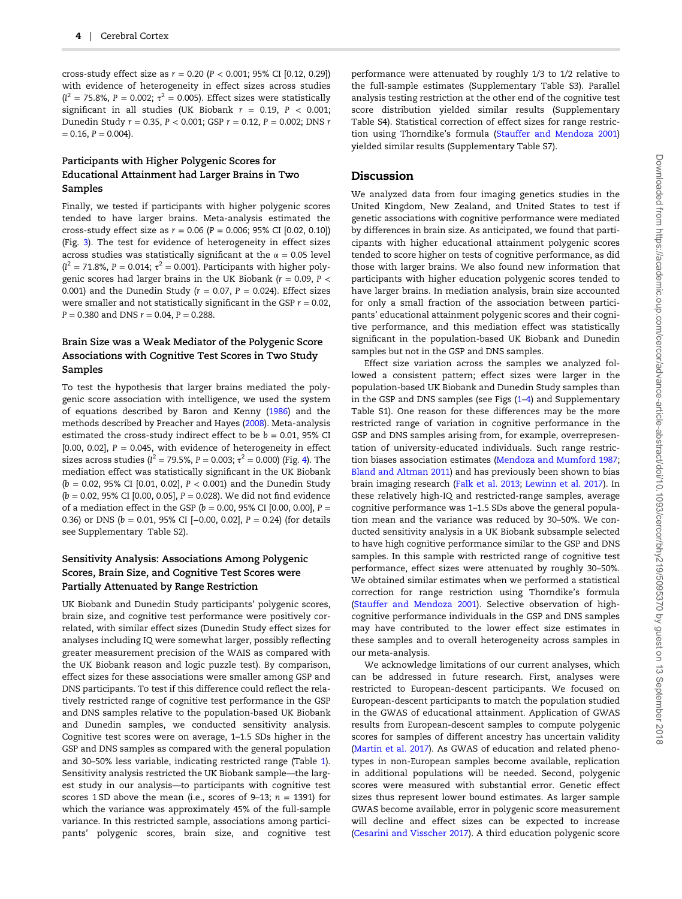cross-study effect size as  $r = 0.20$  ( $P < 0.001$ ; 95% CI [0.12, 0.29]) with evidence of heterogeneity in effect sizes across studies  $(I^{2} = 75.8\%, P = 0.002; \tau^{2} = 0.005)$ . Effect sizes were statistically significant in all studies (UK Biobank  $r = 0.19$ ,  $P < 0.001$ ; Dunedin Study  $r = 0.35$ ,  $P < 0.001$ ; GSP  $r = 0.12$ ,  $P = 0.002$ ; DNS  $r$  $= 0.16$ ,  $P = 0.004$ ).

## Participants with Higher Polygenic Scores for Educational Attainment had Larger Brains in Two Samples

Finally, we tested if participants with higher polygenic scores tended to have larger brains. Meta-analysis estimated the cross-study effect size as  $r = 0.06$  ( $P = 0.006$ ; 95% CI [0.02, 0.10]) (Fig. [3\)](#page-5-0). The test for evidence of heterogeneity in effect sizes across studies was statistically significant at the  $\alpha = 0.05$  level  $(I^2 = 71.8\%, P = 0.014; \tau^2 = 0.001$ ). Participants with higher polygenic scores had larger brains in the UK Biobank ( $r = 0.09$ ,  $P <$ 0.001) and the Dunedin Study ( $r = 0.07$ ,  $P = 0.024$ ). Effect sizes were smaller and not statistically significant in the GSP  $r = 0.02$ ,  $P = 0.380$  and DNS  $r = 0.04$ ,  $P = 0.288$ .

## Brain Size was a Weak Mediator of the Polygenic Score Associations with Cognitive Test Scores in Two Study Samples

To test the hypothesis that larger brains mediated the polygenic score association with intelligence, we used the system of equations described by Baron and Kenny [\(1986\)](#page-6-0) and the methods described by Preacher and Hayes ([2008](#page-7-0)). Meta-analysis estimated the cross-study indirect effect to be  $b = 0.01$ , 95% CI [0.00, 0.02],  $P = 0.045$ , with evidence of heterogeneity in effect sizes across studies (I<sup>2</sup> = 79.5%, P = 0.003;  $\tau^2$  = 0.000) (Fig. [4](#page-5-0)). The mediation effect was statistically significant in the UK Biobank  $(b = 0.02, 95\% \text{ CI } [0.01, 0.02], P < 0.001$ ) and the Dunedin Study  $(b = 0.02, 95\% \text{ CI } [0.00, 0.05], P = 0.028$ ). We did not find evidence of a mediation effect in the GSP ( $b = 0.00$ , 95% CI [0.00, 0.00],  $P =$ 0.36) or DNS ( $b = 0.01$ , 95% CI [-0.00, 0.02], P = 0.24) (for details see Supplementary Table S2).

## Sensitivity Analysis: Associations Among Polygenic Scores, Brain Size, and Cognitive Test Scores were Partially Attenuated by Range Restriction

UK Biobank and Dunedin Study participants' polygenic scores, brain size, and cognitive test performance were positively correlated, with similar effect sizes (Dunedin Study effect sizes for analyses including IQ were somewhat larger, possibly reflecting greater measurement precision of the WAIS as compared with the UK Biobank reason and logic puzzle test). By comparison, effect sizes for these associations were smaller among GSP and DNS participants. To test if this difference could reflect the relatively restricted range of cognitive test performance in the GSP and DNS samples relative to the population-based UK Biobank and Dunedin samples, we conducted sensitivity analysis. Cognitive test scores were on average, 1–1.5 SDs higher in the GSP and DNS samples as compared with the general population and 30–50% less variable, indicating restricted range (Table [1\)](#page-2-0). Sensitivity analysis restricted the UK Biobank sample—the largest study in our analysis—to participants with cognitive test scores 1 SD above the mean (i.e., scores of 9-13;  $n = 1391$ ) for which the variance was approximately 45% of the full-sample variance. In this restricted sample, associations among participants' polygenic scores, brain size, and cognitive test

performance were attenuated by roughly 1/3 to 1/2 relative to the full-sample estimates (Supplementary Table S3). Parallel analysis testing restriction at the other end of the cognitive test score distribution yielded similar results (Supplementary Table S4). Statistical correction of effect sizes for range restriction using Thorndike's formula [\(Stauffer and Mendoza 2001\)](#page-7-0) yielded similar results (Supplementary Table S7).

# Discussion

We analyzed data from four imaging genetics studies in the United Kingdom, New Zealand, and United States to test if genetic associations with cognitive performance were mediated by differences in brain size. As anticipated, we found that participants with higher educational attainment polygenic scores tended to score higher on tests of cognitive performance, as did those with larger brains. We also found new information that participants with higher education polygenic scores tended to have larger brains. In mediation analysis, brain size accounted for only a small fraction of the association between participants' educational attainment polygenic scores and their cognitive performance, and this mediation effect was statistically significant in the population-based UK Biobank and Dunedin samples but not in the GSP and DNS samples.

Effect size variation across the samples we analyzed followed a consistent pattern; effect sizes were larger in the population-based UK Biobank and Dunedin Study samples than in the GSP and DNS samples (see Figs [\(1](#page-4-0)–[4](#page-5-0)) and Supplementary Table S1). One reason for these differences may be the more restricted range of variation in cognitive performance in the GSP and DNS samples arising from, for example, overrepresentation of university-educated individuals. Such range restriction biases association estimates [\(Mendoza and Mumford 1987;](#page-7-0) [Bland and Altman 2011\)](#page-6-0) and has previously been shown to bias brain imaging research [\(Falk et al. 2013;](#page-7-0) [Lewinn et al. 2017](#page-7-0)). In these relatively high-IQ and restricted-range samples, average cognitive performance was 1–1.5 SDs above the general population mean and the variance was reduced by 30–50%. We conducted sensitivity analysis in a UK Biobank subsample selected to have high cognitive performance similar to the GSP and DNS samples. In this sample with restricted range of cognitive test performance, effect sizes were attenuated by roughly 30–50%. We obtained similar estimates when we performed a statistical correction for range restriction using Thorndike's formula [\(Stauffer and Mendoza 2001](#page-7-0)). Selective observation of highcognitive performance individuals in the GSP and DNS samples may have contributed to the lower effect size estimates in these samples and to overall heterogeneity across samples in our meta-analysis.

We acknowledge limitations of our current analyses, which can be addressed in future research. First, analyses were restricted to European-descent participants. We focused on European-descent participants to match the population studied in the GWAS of educational attainment. Application of GWAS results from European-descent samples to compute polygenic scores for samples of different ancestry has uncertain validity [\(Martin et al. 2017\)](#page-7-0). As GWAS of education and related phenotypes in non-European samples become available, replication in additional populations will be needed. Second, polygenic scores were measured with substantial error. Genetic effect sizes thus represent lower bound estimates. As larger sample GWAS become available, error in polygenic score measurement will decline and effect sizes can be expected to increase [\(Cesarini and Visscher 2017](#page-7-0)). A third education polygenic score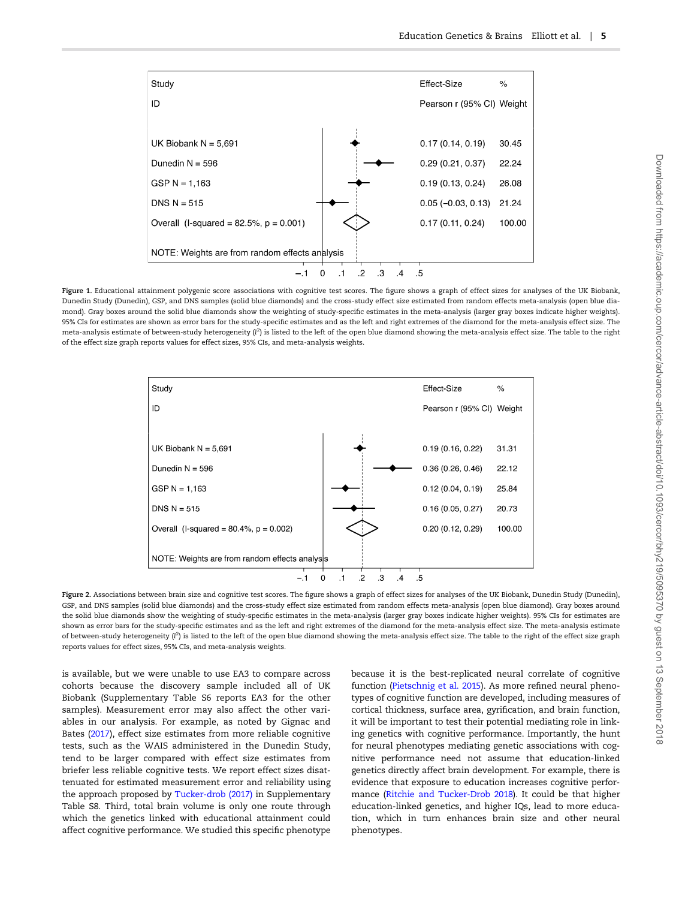<span id="page-4-0"></span>

Figure 1. Educational attainment polygenic score associations with cognitive test scores. The figure shows a graph of effect sizes for analyses of the UK Biobank, Dunedin Study (Dunedin), GSP, and DNS samples (solid blue diamonds) and the cross-study effect size estimated from random effects meta-analysis (open blue diamond). Gray boxes around the solid blue diamonds show the weighting of study-specific estimates in the meta-analysis (larger gray boxes indicate higher weights). 95% CIs for estimates are shown as error bars for the study-specific estimates and as the left and right extremes of the diamond for the meta-analysis effect size. The meta-analysis estimate of between-study heterogeneity (i<sup>2</sup>) is listed to the left of the open blue diamond showing the meta-analysis effect size. The table to the right of the effect size graph reports values for effect sizes, 95% CIs, and meta-analysis weights.



Figure 2. Associations between brain size and cognitive test scores. The figure shows a graph of effect sizes for analyses of the UK Biobank, Dunedin Study (Dunedin), GSP, and DNS samples (solid blue diamonds) and the cross-study effect size estimated from random effects meta-analysis (open blue diamond). Gray boxes around the solid blue diamonds show the weighting of study-specific estimates in the meta-analysis (larger gray boxes indicate higher weights). 95% CIs for estimates are shown as error bars for the study-specific estimates and as the left and right extremes of the diamond for the meta-analysis effect size. The meta-analysis estimate of between-study heterogeneity (I<sup>2</sup>) is listed to the left of the open blue diamond showing the meta-analysis effect size. The table to the right of the effect size graph reports values for effect sizes, 95% CIs, and meta-analysis weights.

is available, but we were unable to use EA3 to compare across cohorts because the discovery sample included all of UK Biobank (Supplementary Table S6 reports EA3 for the other samples). Measurement error may also affect the other variables in our analysis. For example, as noted by Gignac and Bates ([2017\)](#page-7-0), effect size estimates from more reliable cognitive tests, such as the WAIS administered in the Dunedin Study, tend to be larger compared with effect size estimates from briefer less reliable cognitive tests. We report effect sizes disattenuated for estimated measurement error and reliability using the approach proposed by [Tucker-drob \(2017\)](#page-8-0) in Supplementary Table S8. Third, total brain volume is only one route through which the genetics linked with educational attainment could affect cognitive performance. We studied this specific phenotype

because it is the best-replicated neural correlate of cognitive function ([Pietschnig et al. 2015\)](#page-7-0). As more refined neural phenotypes of cognitive function are developed, including measures of cortical thickness, surface area, gyrification, and brain function, it will be important to test their potential mediating role in linking genetics with cognitive performance. Importantly, the hunt for neural phenotypes mediating genetic associations with cognitive performance need not assume that education-linked genetics directly affect brain development. For example, there is evidence that exposure to education increases cognitive performance [\(Ritchie and Tucker-Drob 2018\)](#page-7-0). It could be that higher education-linked genetics, and higher IQs, lead to more education, which in turn enhances brain size and other neural phenotypes.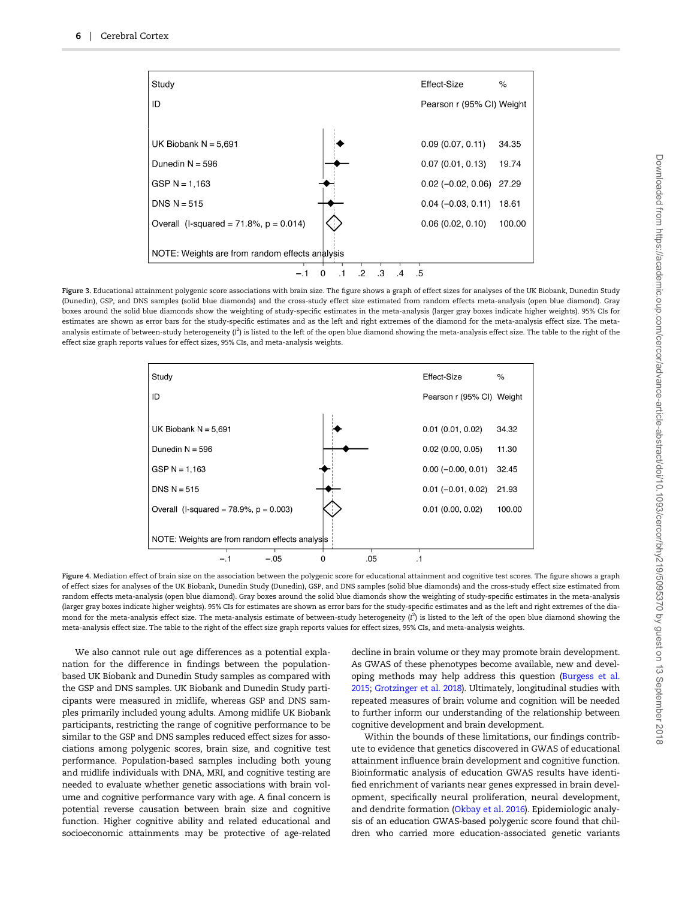<span id="page-5-0"></span>

Figure 3. Educational attainment polygenic score associations with brain size. The figure shows a graph of effect sizes for analyses of the UK Biobank, Dunedin Study (Dunedin), GSP, and DNS samples (solid blue diamonds) and the cross-study effect size estimated from random effects meta-analysis (open blue diamond). Gray boxes around the solid blue diamonds show the weighting of study-specific estimates in the meta-analysis (larger gray boxes indicate higher weights). 95% CIs for estimates are shown as error bars for the study-specific estimates and as the left and right extremes of the diamond for the meta-analysis effect size. The metaanalysis estimate of between-study heterogeneity ( $l^2$ ) is listed to the left of the open blue diamond showing the meta-analysis effect size. The table to the right of the effect size graph reports values for effect sizes, 95% CIs, and meta-analysis weights.



Figure 4. Mediation effect of brain size on the association between the polygenic score for educational attainment and cognitive test scores. The figure shows a graph of effect sizes for analyses of the UK Biobank, Dunedin Study (Dunedin), GSP, and DNS samples (solid blue diamonds) and the cross-study effect size estimated from random effects meta-analysis (open blue diamond). Gray boxes around the solid blue diamonds show the weighting of study-specific estimates in the meta-analysis (larger gray boxes indicate higher weights). 95% CIs for estimates are shown as error bars for the study-specific estimates and as the left and right extremes of the diamond for the meta-analysis effect size. The meta-analysis estimate of between-study heterogeneity  $(l^2)$  is listed to the left of the open blue diamond showing the meta-analysis effect size. The table to the right of the effect size graph reports values for effect sizes, 95% CIs, and meta-analysis weights.

We also cannot rule out age differences as a potential explanation for the difference in findings between the populationbased UK Biobank and Dunedin Study samples as compared with the GSP and DNS samples. UK Biobank and Dunedin Study participants were measured in midlife, whereas GSP and DNS samples primarily included young adults. Among midlife UK Biobank participants, restricting the range of cognitive performance to be similar to the GSP and DNS samples reduced effect sizes for associations among polygenic scores, brain size, and cognitive test performance. Population-based samples including both young and midlife individuals with DNA, MRI, and cognitive testing are needed to evaluate whether genetic associations with brain volume and cognitive performance vary with age. A final concern is potential reverse causation between brain size and cognitive function. Higher cognitive ability and related educational and socioeconomic attainments may be protective of age-related

decline in brain volume or they may promote brain development. As GWAS of these phenotypes become available, new and developing methods may help address this question ([Burgess et al.](#page-6-0) [2015;](#page-6-0) [Grotzinger et al. 2018](#page-7-0)). Ultimately, longitudinal studies with repeated measures of brain volume and cognition will be needed to further inform our understanding of the relationship between cognitive development and brain development.

Within the bounds of these limitations, our findings contribute to evidence that genetics discovered in GWAS of educational attainment influence brain development and cognitive function. Bioinformatic analysis of education GWAS results have identified enrichment of variants near genes expressed in brain development, specifically neural proliferation, neural development, and dendrite formation ([Okbay et al. 2016](#page-7-0)). Epidemiologic analysis of an education GWAS-based polygenic score found that children who carried more education-associated genetic variants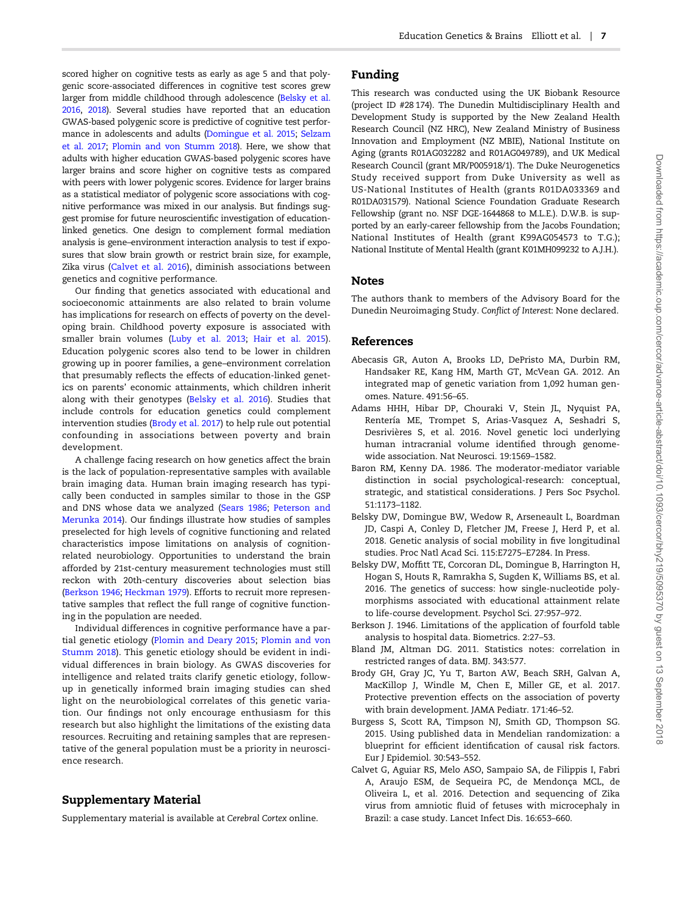<span id="page-6-0"></span>scored higher on cognitive tests as early as age 5 and that polygenic score-associated differences in cognitive test scores grew larger from middle childhood through adolescence (Belsky et al. 2016, 2018). Several studies have reported that an education GWAS-based polygenic score is predictive of cognitive test performance in adolescents and adults [\(Domingue et al. 2015](#page-7-0); [Selzam](#page-7-0) [et al. 2017](#page-7-0); [Plomin and von Stumm 2018\)](#page-7-0). Here, we show that adults with higher education GWAS-based polygenic scores have larger brains and score higher on cognitive tests as compared with peers with lower polygenic scores. Evidence for larger brains as a statistical mediator of polygenic score associations with cognitive performance was mixed in our analysis. But findings suggest promise for future neuroscientific investigation of educationlinked genetics. One design to complement formal mediation analysis is gene–environment interaction analysis to test if exposures that slow brain growth or restrict brain size, for example, Zika virus (Calvet et al. 2016), diminish associations between genetics and cognitive performance.

Our finding that genetics associated with educational and socioeconomic attainments are also related to brain volume has implications for research on effects of poverty on the developing brain. Childhood poverty exposure is associated with smaller brain volumes [\(Luby et al. 2013;](#page-7-0) [Hair et al. 2015\)](#page-7-0). Education polygenic scores also tend to be lower in children growing up in poorer families, a gene–environment correlation that presumably reflects the effects of education-linked genetics on parents' economic attainments, which children inherit along with their genotypes (Belsky et al. 2016). Studies that include controls for education genetics could complement intervention studies (Brody et al. 2017) to help rule out potential confounding in associations between poverty and brain development.

A challenge facing research on how genetics affect the brain is the lack of population-representative samples with available brain imaging data. Human brain imaging research has typically been conducted in samples similar to those in the GSP and DNS whose data we analyzed ([Sears 1986;](#page-7-0) [Peterson and](#page-7-0) [Merunka 2014](#page-7-0)). Our findings illustrate how studies of samples preselected for high levels of cognitive functioning and related characteristics impose limitations on analysis of cognitionrelated neurobiology. Opportunities to understand the brain afforded by 21st-century measurement technologies must still reckon with 20th-century discoveries about selection bias (Berkson 1946; [Heckman 1979\)](#page-7-0). Efforts to recruit more representative samples that reflect the full range of cognitive functioning in the population are needed.

Individual differences in cognitive performance have a partial genetic etiology [\(Plomin and Deary 2015](#page-7-0); [Plomin and von](#page-7-0) [Stumm 2018](#page-7-0)). This genetic etiology should be evident in individual differences in brain biology. As GWAS discoveries for intelligence and related traits clarify genetic etiology, followup in genetically informed brain imaging studies can shed light on the neurobiological correlates of this genetic variation. Our findings not only encourage enthusiasm for this research but also highlight the limitations of the existing data resources. Recruiting and retaining samples that are representative of the general population must be a priority in neuroscience research.

## Supplementary Material

Supplementary material is available at Cerebral Cortex online.

## Funding

This research was conducted using the UK Biobank Resource (project ID #28 174). The Dunedin Multidisciplinary Health and Development Study is supported by the New Zealand Health Research Council (NZ HRC), New Zealand Ministry of Business Innovation and Employment (NZ MBIE), National Institute on Aging (grants R01AG032282 and R01AG049789), and UK Medical Research Council (grant MR/P005918/1). The Duke Neurogenetics Study received support from Duke University as well as US-National Institutes of Health (grants R01DA033369 and R01DA031579). National Science Foundation Graduate Research Fellowship (grant no. NSF DGE-1644868 to M.L.E.). D.W.B. is supported by an early-career fellowship from the Jacobs Foundation; National Institutes of Health (grant K99AG054573 to T.G.); National Institute of Mental Health (grant K01MH099232 to A.J.H.).

#### Notes

The authors thank to members of the Advisory Board for the Dunedin Neuroimaging Study. Conflict of Interest: None declared.

#### References

- Abecasis GR, Auton A, Brooks LD, DePristo MA, Durbin RM, Handsaker RE, Kang HM, Marth GT, McVean GA. 2012. An integrated map of genetic variation from 1,092 human genomes. Nature. 491:56–65.
- Adams HHH, Hibar DP, Chouraki V, Stein JL, Nyquist PA, Rentería ME, Trompet S, Arias-Vasquez A, Seshadri S, Desrivières S, et al. 2016. Novel genetic loci underlying human intracranial volume identified through genomewide association. Nat Neurosci. 19:1569–1582.
- Baron RM, Kenny DA. 1986. The moderator-mediator variable distinction in social psychological-research: conceptual, strategic, and statistical considerations. J Pers Soc Psychol. 51:1173–1182.
- Belsky DW, Domingue BW, Wedow R, Arseneault L, Boardman JD, Caspi A, Conley D, Fletcher JM, Freese J, Herd P, et al. 2018. Genetic analysis of social mobility in five longitudinal studies. Proc Natl Acad Sci. 115:E7275–E7284. In Press.
- Belsky DW, Moffitt TE, Corcoran DL, Domingue B, Harrington H, Hogan S, Houts R, Ramrakha S, Sugden K, Williams BS, et al. 2016. The genetics of success: how single-nucleotide polymorphisms associated with educational attainment relate to life-course development. Psychol Sci. 27:957–972.
- Berkson J. 1946. Limitations of the application of fourfold table analysis to hospital data. Biometrics. 2:27–53.
- Bland JM, Altman DG. 2011. Statistics notes: correlation in restricted ranges of data. BMJ. 343:577.
- Brody GH, Gray JC, Yu T, Barton AW, Beach SRH, Galvan A, MacKillop J, Windle M, Chen E, Miller GE, et al. 2017. Protective prevention effects on the association of poverty with brain development. JAMA Pediatr. 171:46–52.
- Burgess S, Scott RA, Timpson NJ, Smith GD, Thompson SG. 2015. Using published data in Mendelian randomization: a blueprint for efficient identification of causal risk factors. Eur J Epidemiol. 30:543–552.
- Calvet G, Aguiar RS, Melo ASO, Sampaio SA, de Filippis I, Fabri A, Araujo ESM, de Sequeira PC, de Mendonça MCL, de Oliveira L, et al. 2016. Detection and sequencing of Zika virus from amniotic fluid of fetuses with microcephaly in Brazil: a case study. Lancet Infect Dis. 16:653–660.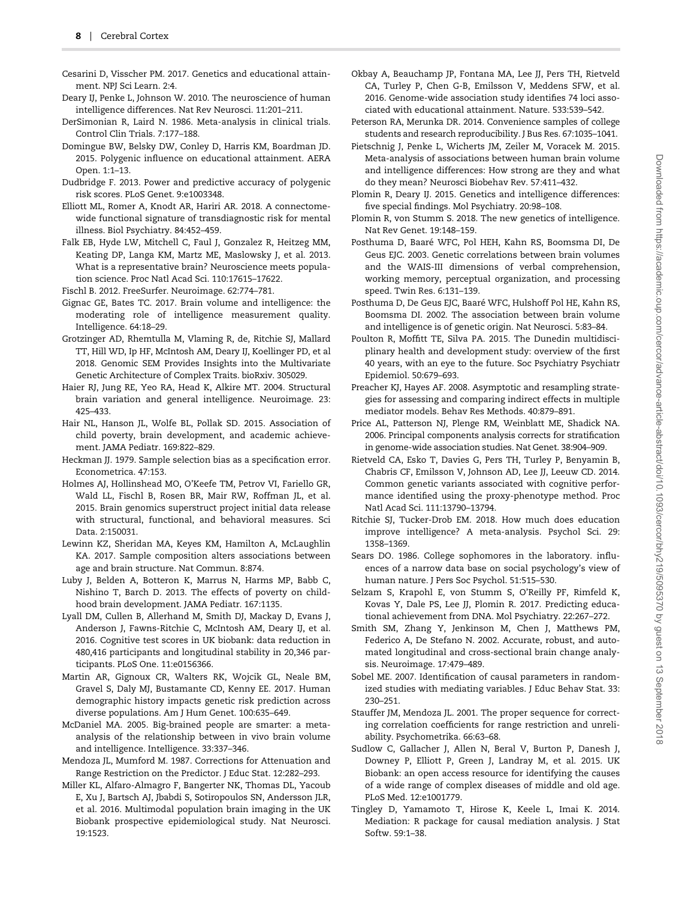<span id="page-7-0"></span>Cesarini D, Visscher PM. 2017. Genetics and educational attainment. NPJ Sci Learn. 2:4.

- Deary IJ, Penke L, Johnson W. 2010. The neuroscience of human intelligence differences. Nat Rev Neurosci. 11:201–211.
- DerSimonian R, Laird N. 1986. Meta-analysis in clinical trials. Control Clin Trials. 7:177–188.
- Domingue BW, Belsky DW, Conley D, Harris KM, Boardman JD. 2015. Polygenic influence on educational attainment. AERA Open. 1:1–13.
- Dudbridge F. 2013. Power and predictive accuracy of polygenic risk scores. PLoS Genet. 9:e1003348.
- Elliott ML, Romer A, Knodt AR, Hariri AR. 2018. A connectomewide functional signature of transdiagnostic risk for mental illness. Biol Psychiatry. 84:452–459.
- Falk EB, Hyde LW, Mitchell C, Faul J, Gonzalez R, Heitzeg MM, Keating DP, Langa KM, Martz ME, Maslowsky J, et al. 2013. What is a representative brain? Neuroscience meets population science. Proc Natl Acad Sci. 110:17615–17622.
- Fischl B. 2012. FreeSurfer. Neuroimage. 62:774–781.
- Gignac GE, Bates TC. 2017. Brain volume and intelligence: the moderating role of intelligence measurement quality. Intelligence. 64:18–29.
- Grotzinger AD, Rhemtulla M, Vlaming R, de, Ritchie SJ, Mallard TT, Hill WD, Ip HF, McIntosh AM, Deary IJ, Koellinger PD, et al 2018. Genomic SEM Provides Insights into the Multivariate Genetic Architecture of Complex Traits. bioRxiv. 305029.
- Haier RJ, Jung RE, Yeo RA, Head K, Alkire MT. 2004. Structural brain variation and general intelligence. Neuroimage. 23: 425–433.
- Hair NL, Hanson JL, Wolfe BL, Pollak SD. 2015. Association of child poverty, brain development, and academic achievement. JAMA Pediatr. 169:822–829.
- Heckman JJ. 1979. Sample selection bias as a specification error. Econometrica. 47:153.
- Holmes AJ, Hollinshead MO, O'Keefe TM, Petrov VI, Fariello GR, Wald LL, Fischl B, Rosen BR, Mair RW, Roffman JL, et al. 2015. Brain genomics superstruct project initial data release with structural, functional, and behavioral measures. Sci Data. 2:150031.
- Lewinn KZ, Sheridan MA, Keyes KM, Hamilton A, McLaughlin KA. 2017. Sample composition alters associations between age and brain structure. Nat Commun. 8:874.
- Luby J, Belden A, Botteron K, Marrus N, Harms MP, Babb C, Nishino T, Barch D. 2013. The effects of poverty on childhood brain development. JAMA Pediatr. 167:1135.
- Lyall DM, Cullen B, Allerhand M, Smith DJ, Mackay D, Evans J, Anderson J, Fawns-Ritchie C, McIntosh AM, Deary IJ, et al. 2016. Cognitive test scores in UK biobank: data reduction in 480,416 participants and longitudinal stability in 20,346 participants. PLoS One. 11:e0156366.
- Martin AR, Gignoux CR, Walters RK, Wojcik GL, Neale BM, Gravel S, Daly MJ, Bustamante CD, Kenny EE. 2017. Human demographic history impacts genetic risk prediction across diverse populations. Am J Hum Genet. 100:635–649.
- McDaniel MA. 2005. Big-brained people are smarter: a metaanalysis of the relationship between in vivo brain volume and intelligence. Intelligence. 33:337–346.
- Mendoza JL, Mumford M. 1987. Corrections for Attenuation and Range Restriction on the Predictor. J Educ Stat. 12:282–293.
- Miller KL, Alfaro-Almagro F, Bangerter NK, Thomas DL, Yacoub E, Xu J, Bartsch AJ, Jbabdi S, Sotiropoulos SN, Andersson JLR, et al. 2016. Multimodal population brain imaging in the UK Biobank prospective epidemiological study. Nat Neurosci. 19:1523.
- Okbay A, Beauchamp JP, Fontana MA, Lee JJ, Pers TH, Rietveld CA, Turley P, Chen G-B, Emilsson V, Meddens SFW, et al. 2016. Genome-wide association study identifies 74 loci associated with educational attainment. Nature. 533:539–542.
- Peterson RA, Merunka DR. 2014. Convenience samples of college students and research reproducibility. J Bus Res. 67:1035–1041.
- Pietschnig J, Penke L, Wicherts JM, Zeiler M, Voracek M. 2015. Meta-analysis of associations between human brain volume and intelligence differences: How strong are they and what do they mean? Neurosci Biobehav Rev. 57:411–432.
- Plomin R, Deary IJ. 2015. Genetics and intelligence differences: five special findings. Mol Psychiatry. 20:98–108.
- Plomin R, von Stumm S. 2018. The new genetics of intelligence. Nat Rev Genet. 19:148–159.
- Posthuma D, Baaré WFC, Pol HEH, Kahn RS, Boomsma DI, De Geus EJC. 2003. Genetic correlations between brain volumes and the WAIS-III dimensions of verbal comprehension, working memory, perceptual organization, and processing speed. Twin Res. 6:131–139.
- Posthuma D, De Geus EJC, Baaré WFC, Hulshoff Pol HE, Kahn RS, Boomsma DI. 2002. The association between brain volume and intelligence is of genetic origin. Nat Neurosci. 5:83–84.
- Poulton R, Moffitt TE, Silva PA. 2015. The Dunedin multidisciplinary health and development study: overview of the first 40 years, with an eye to the future. Soc Psychiatry Psychiatr Epidemiol. 50:679–693.
- Preacher KJ, Hayes AF. 2008. Asymptotic and resampling strategies for assessing and comparing indirect effects in multiple mediator models. Behav Res Methods. 40:879–891.
- Price AL, Patterson NJ, Plenge RM, Weinblatt ME, Shadick NA. 2006. Principal components analysis corrects for stratification in genome-wide association studies. Nat Genet. 38:904–909.
- Rietveld CA, Esko T, Davies G, Pers TH, Turley P, Benyamin B, Chabris CF, Emilsson V, Johnson AD, Lee JJ, Leeuw CD. 2014. Common genetic variants associated with cognitive performance identified using the proxy-phenotype method. Proc Natl Acad Sci. 111:13790–13794.
- Ritchie SJ, Tucker-Drob EM. 2018. How much does education improve intelligence? A meta-analysis. Psychol Sci. 29: 1358–1369.
- Sears DO. 1986. College sophomores in the laboratory. influences of a narrow data base on social psychology's view of human nature. J Pers Soc Psychol. 51:515–530.
- Selzam S, Krapohl E, von Stumm S, O'Reilly PF, Rimfeld K, Kovas Y, Dale PS, Lee JJ, Plomin R. 2017. Predicting educational achievement from DNA. Mol Psychiatry. 22:267–272.
- Smith SM, Zhang Y, Jenkinson M, Chen J, Matthews PM, Federico A, De Stefano N. 2002. Accurate, robust, and automated longitudinal and cross-sectional brain change analysis. Neuroimage. 17:479–489.
- Sobel ME. 2007. Identification of causal parameters in randomized studies with mediating variables. J Educ Behav Stat. 33: 230–251.
- Stauffer JM, Mendoza JL. 2001. The proper sequence for correcting correlation coefficients for range restriction and unreliability. Psychometrika. 66:63–68.
- Sudlow C, Gallacher J, Allen N, Beral V, Burton P, Danesh J, Downey P, Elliott P, Green J, Landray M, et al. 2015. UK Biobank: an open access resource for identifying the causes of a wide range of complex diseases of middle and old age. PLoS Med. 12:e1001779.
- Tingley D, Yamamoto T, Hirose K, Keele L, Imai K. 2014. Mediation: R package for causal mediation analysis. J Stat Softw. 59:1–38.